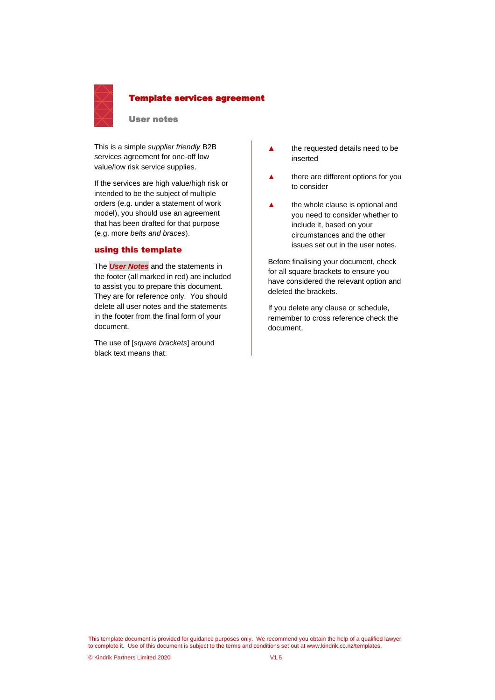

# Template services agreement

User notes

This is a simple *supplier friendly* B2B services agreement for one-off low value/low risk service supplies.

If the services are high value/high risk or intended to be the subject of multiple orders (e.g. under a statement of work model), you should use an agreement that has been drafted for that purpose (e.g. more *belts and braces*).

# using this template

The *User Notes* and the statements in the footer (all marked in red) are included to assist you to prepare this document. They are for reference only. You should delete all user notes and the statements in the footer from the final form of your document.

The use of [*square brackets*] around black text means that:

- **▲** the requested details need to be inserted
- **▲** there are different options for you to consider
- **▲** the whole clause is optional and you need to consider whether to include it, based on your circumstances and the other issues set out in the user notes.

Before finalising your document, check for all square brackets to ensure you have considered the relevant option and deleted the brackets.

If you delete any clause or schedule, remember to cross reference check the document.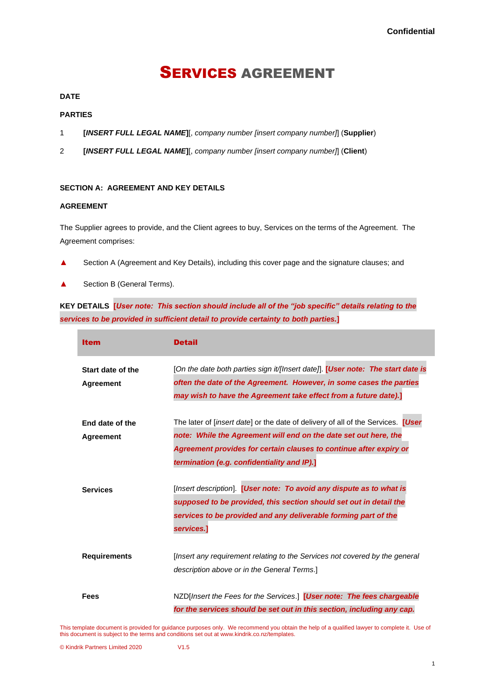# SERVICES AGREEMENT

# **DATE**

# **PARTIES**

- 1 **[***INSERT FULL LEGAL NAME***]**[, *company number [insert company number]*] (**Supplier**)
- 2 **[***INSERT FULL LEGAL NAME***]**[, *company number [insert company number]*] (**Client**)

# **SECTION A: AGREEMENT AND KEY DETAILS**

# **AGREEMENT**

The Supplier agrees to provide, and the Client agrees to buy, Services on the terms of the Agreement. The Agreement comprises:

- ▲ Section A (Agreement and Key Details), including this cover page and the signature clauses; and
- ▲ Section B (General Terms).

**KEY DETAILS [***User note: This section should include all of the "job specific" details relating to the services to be provided in sufficient detail to provide certainty to both parties.***]**

| <b>Item</b>                           | <b>Detail</b>                                                                                                                                                                                                                                                                           |
|---------------------------------------|-----------------------------------------------------------------------------------------------------------------------------------------------------------------------------------------------------------------------------------------------------------------------------------------|
| Start date of the<br><b>Agreement</b> | [On the date both parties sign it/[Insert date]]. [User note: The start date is<br>often the date of the Agreement. However, in some cases the parties<br>may wish to have the Agreement take effect from a future date).]                                                              |
| End date of the<br>Agreement          | The later of <i>[insert date]</i> or the date of delivery of all of the Services. <b>[User</b><br>note: While the Agreement will end on the date set out here, the<br>Agreement provides for certain clauses to continue after expiry or<br>termination (e.g. confidentiality and IP).] |
| <b>Services</b>                       | [Insert description]. [User note: To avoid any dispute as to what is<br>supposed to be provided, this section should set out in detail the<br>services to be provided and any deliverable forming part of the<br>services.]                                                             |
| <b>Requirements</b>                   | [Insert any requirement relating to the Services not covered by the general<br>description above or in the General Terms.]                                                                                                                                                              |
| Fees                                  | NZD[Insert the Fees for the Services.] [User note: The fees chargeable<br>for the services should be set out in this section, including any cap.                                                                                                                                        |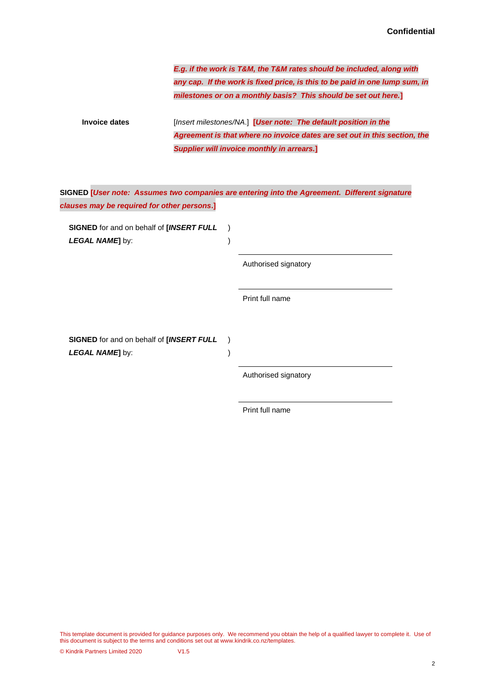*E.g. if the work is T&M, the T&M rates should be included, along with any cap. If the work is fixed price, is this to be paid in one lump sum, in milestones or on a monthly basis? This should be set out here.***]**

**Invoice dates** [*Insert milestones/NA*.] **[***User note: The default position in the Agreement is that where no invoice dates are set out in this section, the Supplier will invoice monthly in arrears.***]**

| SIGNED [User note: Assumes two companies are entering into the Agreement. Different signature |  |
|-----------------------------------------------------------------------------------------------|--|
| clauses may be required for other persons.]                                                   |  |

) )

) )

**SIGNED** for and on behalf of **[***INSERT FULL LEGAL NAME***]** by:

Authorised signatory

Print full name

**SIGNED** for and on behalf of **[***INSERT FULL LEGAL NAME***]** by:

Authorised signatory

Print full name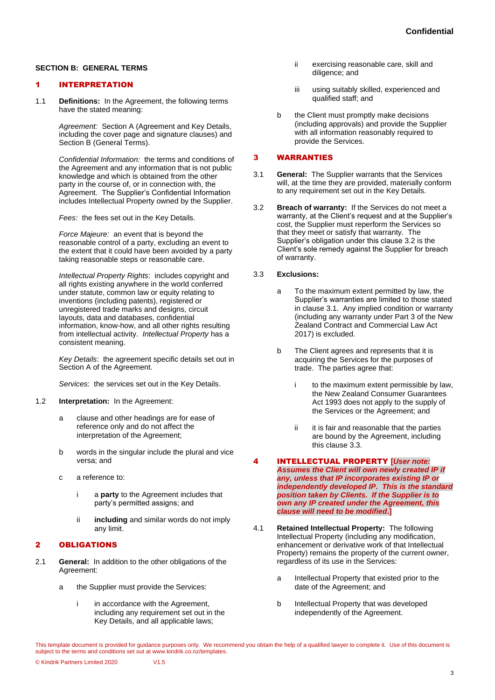# **SECTION B: GENERAL TERMS**

# 1 INTERPRETATION

1.1 **Definitions:** In the Agreement, the following terms have the stated meaning:

> *Agreement:* Section A (Agreement and Key Details, including the cover page and signature clauses) and Section B (General Terms).

*Confidential Information:* the terms and conditions of the Agreement and any information that is not public knowledge and which is obtained from the other party in the course of, or in connection with, the Agreement. The Supplier's Confidential Information includes Intellectual Property owned by the Supplier.

*Fees:* the fees set out in the Key Details.

*Force Majeure:* an event that is beyond the reasonable control of a party, excluding an event to the extent that it could have been avoided by a party taking reasonable steps or reasonable care.

*Intellectual Property Rights*: includes copyright and all rights existing anywhere in the world conferred under statute, common law or equity relating to inventions (including patents), registered or unregistered trade marks and designs, circuit layouts, data and databases, confidential information, know-how, and all other rights resulting from intellectual activity. *Intellectual Property* has a consistent meaning.

*Key Details*:the agreement specific details set out in Section A of the Agreement.

*Services*: the services set out in the Key Details.

- 1.2 **Interpretation:** In the Agreement:
	- a clause and other headings are for ease of reference only and do not affect the interpretation of the Agreement;
	- b words in the singular include the plural and vice versa; and
	- c a reference to:
		- i a **party** to the Agreement includes that party's permitted assigns; and
		- ii **including** and similar words do not imply any limit.

# 2 OBLIGATIONS

- 2.1 **General:** In addition to the other obligations of the Agreement:
	- a the Supplier must provide the Services:
		- i in accordance with the Agreement, including any requirement set out in the Key Details, and all applicable laws;
- ii exercising reasonable care, skill and diligence; and
- iii using suitably skilled, experienced and qualified staff; and
- b the Client must promptly make decisions (including approvals) and provide the Supplier with all information reasonably required to provide the Services.

#### 3 WARRANTIES

- <span id="page-3-1"></span>3.1 **General:** The Supplier warrants that the Services will, at the time they are provided, materially conform to any requirement set out in the Key Details.
- <span id="page-3-0"></span>3.2 **Breach of warranty:** If the Services do not meet a warranty, at the Client's request and at the Supplier's cost, the Supplier must reperform the Services so that they meet or satisfy that warranty. The Supplier's obligation under this claus[e 3.2](#page-3-0) is the Client's sole remedy against the Supplier for breach of warranty.

#### <span id="page-3-2"></span>3.3 **Exclusions:**

- a To the maximum extent permitted by law, the Supplier's warranties are limited to those stated in claus[e 3.1.](#page-3-1) Any implied condition or warranty (including any warranty under Part 3 of the New Zealand Contract and Commercial Law Act 2017) is excluded.
- b The Client agrees and represents that it is acquiring the Services for the purposes of trade. The parties agree that:
	- i to the maximum extent permissible by law, the New Zealand Consumer Guarantees Act 1993 does not apply to the supply of the Services or the Agreement; and
	- ii it is fair and reasonable that the parties are bound by the Agreement, including this claus[e 3.3.](#page-3-2)

- 4 INTELLECTUAL PROPERTY **[***User note: Assumes the Client will own newly created IP if any, unless that IP incorporates existing IP or independently developed IP. This is the standard position taken by Clients. If the Supplier is to own any IP created under the Agreement, this clause will need to be modified***.]**
- <span id="page-3-3"></span>4.1 **Retained Intellectual Property:** The following Intellectual Property (including any modification, enhancement or derivative work of that Intellectual Property) remains the property of the current owner, regardless of its use in the Services:
	- a Intellectual Property that existed prior to the date of the Agreement; and
	- b Intellectual Property that was developed independently of the Agreement.
- This template document is provided for guidance purposes only. We recommend you obtain the help of a qualified lawyer to complete it. Use of this document is subject to the terms and conditions set out at www.kindrik.co.nz/templates.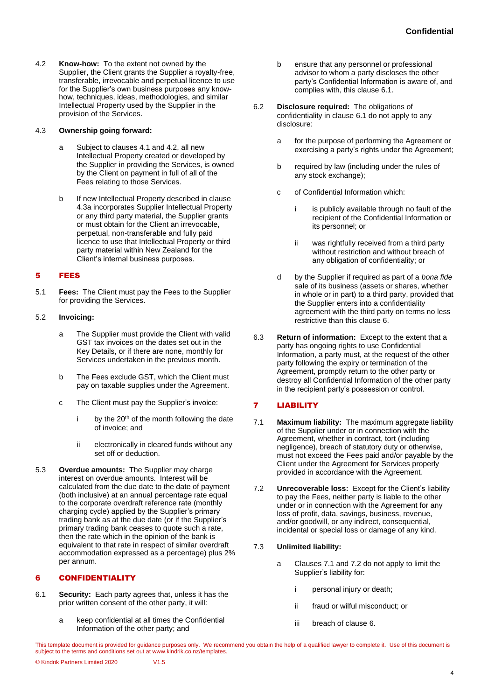<span id="page-4-0"></span>4.2 **Know-how:** To the extent not owned by the Supplier, the Client grants the Supplier a royalty-free, transferable, irrevocable and perpetual licence to use for the Supplier's own business purposes any knowhow, techniques, ideas, methodologies, and similar Intellectual Property used by the Supplier in the provision of the Services.

#### <span id="page-4-1"></span>4.3 **Ownership going forward:**

- a Subject to clauses [4.1](#page-3-3) an[d 4.2,](#page-4-0) all new Intellectual Property created or developed by the Supplier in providing the Services, is owned by the Client on payment in full of all of the Fees relating to those Services.
- b If new Intellectual Property described in clause [4.3a](#page-4-1) incorporates Supplier Intellectual Property or any third party material, the Supplier grants or must obtain for the Client an irrevocable, perpetual, non-transferable and fully paid licence to use that Intellectual Property or third party material within New Zealand for the Client's internal business purposes.

# 5 FEES

5.1 **Fees:** The Client must pay the Fees to the Supplier for providing the Services.

# 5.2 **Invoicing:**

- a The Supplier must provide the Client with valid GST tax invoices on the dates set out in the Key Details, or if there are none, monthly for Services undertaken in the previous month.
- b The Fees exclude GST, which the Client must pay on taxable supplies under the Agreement.
- c The Client must pay the Supplier's invoice:
	- i by the  $20<sup>th</sup>$  of the month following the date of invoice; and
	- ii electronically in cleared funds without any set off or deduction.
- 5.3 **Overdue amounts:** The Supplier may charge interest on overdue amounts. Interest will be calculated from the due date to the date of payment (both inclusive) at an annual percentage rate equal to the corporate overdraft reference rate (monthly charging cycle) applied by the Supplier's primary trading bank as at the due date (or if the Supplier's primary trading bank ceases to quote such a rate, then the rate which in the opinion of the bank is equivalent to that rate in respect of similar overdraft accommodation expressed as a percentage) plus 2% per annum.

# <span id="page-4-3"></span>6 CONFIDENTIALITY

- <span id="page-4-2"></span>6.1 **Security:** Each party agrees that, unless it has the prior written consent of the other party, it will:
	- a keep confidential at all times the Confidential Information of the other party; and
- b ensure that any personnel or professional advisor to whom a party discloses the other party's Confidential Information is aware of, and complies with, this claus[e 6.1.](#page-4-2)
- 6.2 **Disclosure required:** The obligations of confidentiality in clause [6.1](#page-4-2) do not apply to any disclosure:
	- a for the purpose of performing the Agreement or exercising a party's rights under the Agreement;
	- b required by law (including under the rules of any stock exchange);
	- c of Confidential Information which:
		- i is publicly available through no fault of the recipient of the Confidential Information or its personnel; or
		- ii was rightfully received from a third party without restriction and without breach of any obligation of confidentiality; or
	- d by the Supplier if required as part of a *bona fide* sale of its business (assets or shares, whether in whole or in part) to a third party, provided that the Supplier enters into a confidentiality agreement with the third party on terms no less restrictive than this claus[e 6.](#page-4-3)
- 6.3 **Return of information:** Except to the extent that a party has ongoing rights to use Confidential Information, a party must, at the request of the other party following the expiry or termination of the Agreement, promptly return to the other party or destroy all Confidential Information of the other party in the recipient party's possession or control.

# <span id="page-4-8"></span>7 LIABILITY

- <span id="page-4-4"></span>7.1 **Maximum liability:** The maximum aggregate liability of the Supplier under or in connection with the Agreement, whether in contract, tort (including negligence), breach of statutory duty or otherwise, must not exceed the Fees paid and/or payable by the Client under the Agreement for Services properly provided in accordance with the Agreement.
- <span id="page-4-5"></span>7.2 **Unrecoverable loss:** Except for the Client's liability to pay the Fees, neither party is liable to the other under or in connection with the Agreement for any loss of profit, data, savings, business, revenue, and/or goodwill, or any indirect, consequential, incidental or special loss or damage of any kind.

# 7.3 **Unlimited liability:**

- <span id="page-4-7"></span><span id="page-4-6"></span>a Clauses [7.1](#page-4-4) and [7.2](#page-4-5) do not apply to limit the Supplier's liability for:
	- i personal injury or death;
	- ii fraud or wilful misconduct; or
	- iii breach of clause [6.](#page-4-3)

This template document is provided for guidance purposes only. We recommend you obtain the help of a qualified lawyer to complete it. Use of this document is subject to the terms and conditions set out at www.kindrik.co.nz/templates.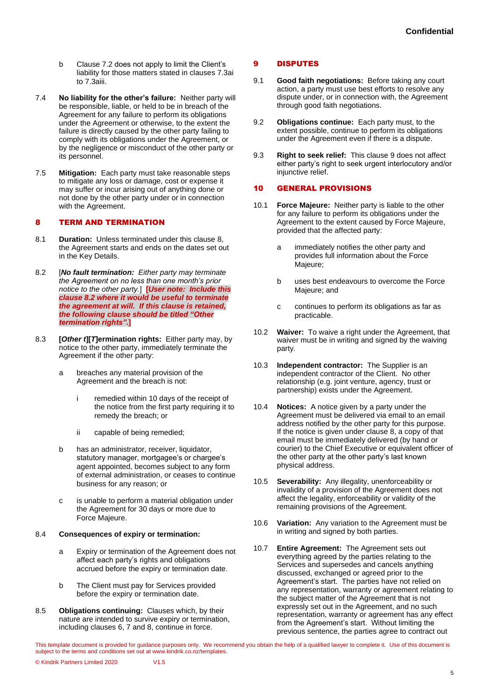- b Claus[e 7.2](#page-4-5) does not apply to limit the Client's liability for those matters stated in clauses [7.3ai](#page-4-6) to [7.3aiii.](#page-4-7)
- 7.4 **No liability for the other's failure:** Neither party will be responsible, liable, or held to be in breach of the Agreement for any failure to perform its obligations under the Agreement or otherwise, to the extent the failure is directly caused by the other party failing to comply with its obligations under the Agreement, or by the negligence or misconduct of the other party or its personnel.
- 7.5 **Mitigation:** Each party must take reasonable steps to mitigate any loss or damage, cost or expense it may suffer or incur arising out of anything done or not done by the other party under or in connection with the Agreement.

# <span id="page-5-0"></span>8 TERM AND TERMINATION

- 8.1 **Duration:** Unless terminated under this claus[e 8,](#page-5-0) the Agreement starts and ends on the dates set out in the Key Details.
- 8.2 [*No fault termination: Either party may terminate the Agreement on no less than one month's prior notice to the other party.*] **[***User note: Include this clause 8.2 where it would be useful to terminate the agreement at will. If this clause is retained, the following clause should be titled "Other termination rights"***.]**
- 8.3 **[***Other t***][***T***]ermination rights:** Either party may, by notice to the other party, immediately terminate the Agreement if the other party:
	- a breaches any material provision of the Agreement and the breach is not:
		- i remedied within 10 days of the receipt of the notice from the first party requiring it to remedy the breach; or
		- ii capable of being remedied;
	- b has an administrator, receiver, liquidator, statutory manager, mortgagee's or chargee's agent appointed, becomes subject to any form of external administration, or ceases to continue business for any reason; or
	- c is unable to perform a material obligation under the Agreement for 30 days or more due to Force Majeure.

#### 8.4 **Consequences of expiry or termination:**

- a Expiry or termination of the Agreement does not affect each party's rights and obligations accrued before the expiry or termination date.
- b The Client must pay for Services provided before the expiry or termination date.
- 8.5 **Obligations continuing:** Clauses which, by their nature are intended to survive expiry or termination, including clauses [6,](#page-4-3) [7](#page-4-8) and [8,](#page-5-0) continue in force.

#### <span id="page-5-1"></span>9 DISPUTES

- 9.1 **Good faith negotiations:** Before taking any court action, a party must use best efforts to resolve any dispute under, or in connection with, the Agreement through good faith negotiations.
- 9.2 **Obligations continue:** Each party must, to the extent possible, continue to perform its obligations under the Agreement even if there is a dispute.
- 9.3 **Right to seek relief:** This claus[e 9](#page-5-1) does not affect either party's right to seek urgent interlocutory and/or injunctive relief.

#### 10 GENERAL PROVISIONS

- 10.1 **Force Majeure:** Neither party is liable to the other for any failure to perform its obligations under the Agreement to the extent caused by Force Majeure, provided that the affected party:
	- a immediately notifies the other party and provides full information about the Force Majeure;
	- b uses best endeavours to overcome the Force Majeure; and
	- c continues to perform its obligations as far as practicable.
- 10.2 **Waiver:** To waive a right under the Agreement, that waiver must be in writing and signed by the waiving party*.*
- 10.3 **Independent contractor:** The Supplier is an independent contractor of the Client. No other relationship (e.g. joint venture, agency, trust or partnership) exists under the Agreement.
- 10.4 **Notices:** A notice given by a party under the Agreement must be delivered via email to an email address notified by the other party for this purpose. If the notice is given under clause [8,](#page-5-0) a copy of that email must be immediately delivered (by hand or courier) to the Chief Executive or equivalent officer of the other party at the other party's last known physical address.
- 10.5 **Severability:** Any illegality, unenforceability or invalidity of a provision of the Agreement does not affect the legality, enforceability or validity of the remaining provisions of the Agreement.
- 10.6 **Variation:** Any variation to the Agreement must be in writing and signed by both parties.
- <span id="page-5-2"></span>10.7 **Entire Agreement:** The Agreement sets out everything agreed by the parties relating to the Services and supersedes and cancels anything discussed, exchanged or agreed prior to the Agreement's start. The parties have not relied on any representation, warranty or agreement relating to the subject matter of the Agreement that is not expressly set out in the Agreement, and no such representation, warranty or agreement has any effect from the Agreement's start. Without limiting the previous sentence, the parties agree to contract out
- This template document is provided for guidance purposes only. We recommend you obtain the help of a qualified lawyer to complete it. Use of this document is subject to the terms and conditions set out at www.kindrik.co.nz/templates.